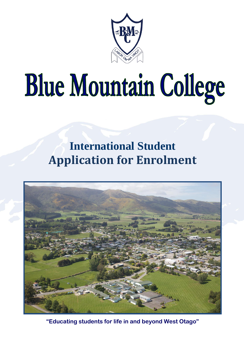

# **Blue Mountain College**

### **International Student Application for Enrolment**



**"Educating students for life in and beyond West Otago"**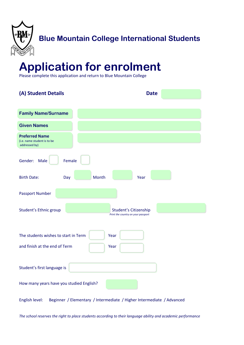

### **Application for enrolment**

Please complete this application and return to Blue Mountain College

| (A) Student Details                                                   | <b>Date</b>                                                           |  |
|-----------------------------------------------------------------------|-----------------------------------------------------------------------|--|
| <b>Family Name/Surname</b>                                            |                                                                       |  |
| <b>Given Names</b>                                                    |                                                                       |  |
| <b>Preferred Name</b><br>(i.e. name student is to be<br>addressed by) |                                                                       |  |
| Gender:<br>Male<br>Female                                             |                                                                       |  |
| Month<br><b>Birth Date:</b><br>Day                                    | Year                                                                  |  |
| <b>Passport Number</b>                                                |                                                                       |  |
| Student's Ethnic group                                                | <b>Student's Citizenship</b><br>Print the country on your passport    |  |
| The students wishes to start in Term<br>Year                          |                                                                       |  |
| and finish at the end of Term<br>Year                                 |                                                                       |  |
| Student's first language is                                           |                                                                       |  |
| How many years have you studied English?                              |                                                                       |  |
| English level:                                                        | Beginner / Elementary / Intermediate / Higher Intermediate / Advanced |  |

*The school reserves the right to place students according to their language ability and academic performance*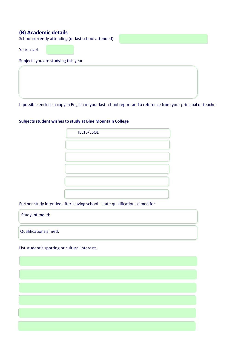### **(B) Academic details**

School currently attending (or last school attended)

Year Level

Subjects you are studying this year

If possible enclose a copy in English of your last school report and a reference from your principal or teacher

### **Subjects student wishes to study at Blue Mountain College**

| <b>IELTS/ESOL</b> |  |
|-------------------|--|
|                   |  |
|                   |  |
|                   |  |
|                   |  |
|                   |  |
|                   |  |

Further study intended after leaving school - state qualifications aimed for

| Study intended:       |  |
|-----------------------|--|
| Qualifications aimed: |  |

List student's sporting or cultural interests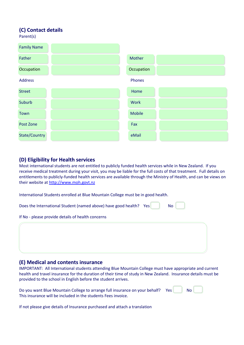### **(C) Contact details**

Parent(s)

| <b>Family Name</b>   |               |  |
|----------------------|---------------|--|
| Father               | Mother        |  |
| Occupation           | Occupation    |  |
| <b>Address</b>       | Phones        |  |
| <b>Street</b>        | Home          |  |
| Suburb               | <b>Work</b>   |  |
| Town                 | <b>Mobile</b> |  |
| Post Zone            | Fax           |  |
| <b>State/Country</b> | eMail         |  |

### **(D) Eligibility for Health services**

Most international students are not entitled to publicly funded health services while in New Zealand. If you receive medical treatment during your visit, you may be liable for the full costs of that treatment. Full details on entitlements to publicly-funded health services are available through the Ministry of Health, and can be views on their website a[t http://www.moh.govt.nz](http://www.moh.govt.nz/)

International Students enrolled at Blue Mountain College must be in good health.

| Does the International Student (named above) have good health? | Yes | <b>No</b> |
|----------------------------------------------------------------|-----|-----------|
| If No - please provide details of health concerns              |     |           |
|                                                                |     |           |
|                                                                |     |           |
|                                                                |     |           |

### **(E) Medical and contents insurance**

IMPORTANT: All International students attending Blue Mountain College must have appropriate and current health and travel insurance for the duration of their time of study in New Zealand. Insurance details must be provided to the school in English before the student arrives.

| Do you want Blue Mountain College to arrange full insurance on your behalf? | <b>Print</b> Yes | No. |  |
|-----------------------------------------------------------------------------|------------------|-----|--|
| This insurance will be included in the students Fees invoice.               |                  |     |  |

If not please give details of Insurance purchased and attach a translation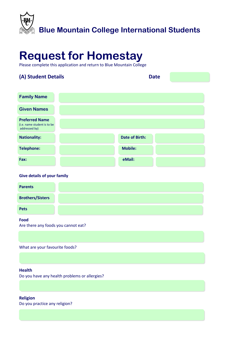

### **Request for Homestay**

Please complete this application and return to Blue Mountain College

### **(A) Student Details Date**

| <b>Family Name</b>                                                    |                       |
|-----------------------------------------------------------------------|-----------------------|
| <b>Given Names</b>                                                    |                       |
| <b>Preferred Name</b><br>(i.e. name student is to be<br>addressed by) |                       |
| <b>Nationality:</b>                                                   | <b>Date of Birth:</b> |
| <b>Telephone:</b>                                                     | <b>Mobile:</b>        |
| Fax:                                                                  | eMail:                |

### **Give details of your family**

| <b>Parents</b>          |
|-------------------------|
| <b>Brothers/Sisters</b> |
| <b>Pets</b>             |
| Food                    |

Are there any foods you cannot eat?

What are your favourite foods?

### **Health**

Do you have any health problems or allergies?

**Religion**  Do you practice any religion?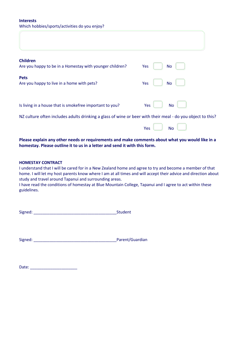### **Interests**  Which hobbies/sports/activities do you enjoy?

| <b>Children</b><br>Are you happy to be in a Homestay with younger children?                                | Yes<br>No        |
|------------------------------------------------------------------------------------------------------------|------------------|
| <b>Pets</b><br>Are you happy to live in a home with pets?                                                  | Yes<br><b>No</b> |
| Is living in a house that is smokefree important to you?                                                   | Yes<br><b>No</b> |
| NZ culture often includes adults drinking a glass of wine or beer with their meal - do you object to this? |                  |
|                                                                                                            | Yes<br>No        |

### **Please explain any other needs or requirements and make comments about what you would like in a homestay. Please outline it to us in a letter and send it with this form.**

### **HOMESTAY CONTRACT**

I understand that I will be cared for in a New Zealand home and agree to try and become a member of that home. I will let my host parents know where I am at all times and will accept their advice and direction about study and travel around Tapanui and surrounding areas.

I have read the conditions of homestay at Blue Mountain College, Tapanui and I agree to act within these guidelines.

| Signed: | <b>Student</b> |
|---------|----------------|
|---------|----------------|

Signed: \_\_\_\_\_\_\_\_\_\_\_\_\_\_\_\_\_\_\_\_\_\_\_\_\_\_\_\_\_\_\_\_\_\_\_\_\_Parent/Guardian

Date:  $\Box$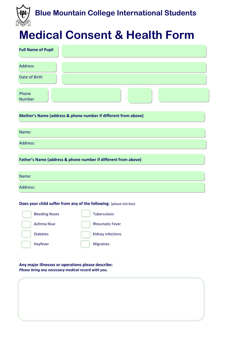

### **Medical Consent & Health Form**

| <b>Full Name of Pupil</b>                                                                                 |
|-----------------------------------------------------------------------------------------------------------|
| <b>Address</b>                                                                                            |
| Date of Birth                                                                                             |
| Phone<br><b>Number</b>                                                                                    |
| Mother's Name (address & phone number if different from above)                                            |
| Name:                                                                                                     |
| Address:                                                                                                  |
| Father's Name (address & phone number if different from above)                                            |
| Name:                                                                                                     |
| Address:                                                                                                  |
| Does your child suffer from any of the following: (please tick box)                                       |
| <b>Bleeding Noses</b><br><b>Tuberculosis</b><br><b>Asthma Niue</b>                                        |
| <b>Rheumatic Fever</b><br><b>Diabetes</b><br>Kidney infections                                            |
| Hayfever<br><b>Migraines</b>                                                                              |
| Any major illnesses or operations please describe:<br>Please bring any necessary medical record with you. |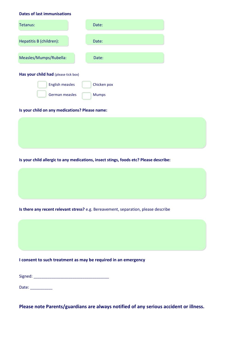#### **Dates of last immunisations**

| Tetanus:                             | Date:        |  |  |
|--------------------------------------|--------------|--|--|
|                                      |              |  |  |
| Hepatitis B (children):              | Date:        |  |  |
|                                      |              |  |  |
| Measles/Mumps/Rubella:               | Date:        |  |  |
| Has your child had (please tick box) |              |  |  |
| <b>English measles</b>               | Chicken pox  |  |  |
| German measles                       | <b>Mumps</b> |  |  |

#### **Is your child on any medications? Please name:**

#### **Is your child allergic to any medications, insect stings, foods etc? Please describe:**

**Is there any recent relevant stress?** e.g. Bereavement, separation, please describe

### **I consent to such treatment as may be required in an emergency**

| Signed: |
|---------|
|---------|

Date: \_\_\_\_\_\_\_\_\_\_\_

**Please note Parents/guardians are always notified of any serious accident or illness.**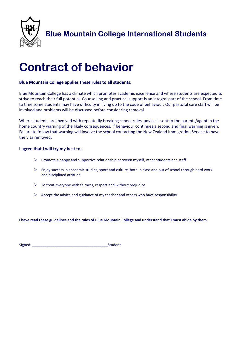

**Blue Mountain College International Students**

### **Contract of behavior**

### **Blue Mountain College applies these rules to all students.**

Blue Mountain College has a climate which promotes academic excellence and where students are expected to strive to reach their full potential. Counselling and practical support is an integral part of the school. From time to time some students may have difficulty in living up to the code of behaviour. Our pastoral care staff will be involved and problems will be discussed before considering removal.

Where students are involved with repeatedly breaking school rules, advice is sent to the parents/agent in the home country warning of the likely consequences. If behaviour continues a second and final warning is given. Failure to follow that warning will involve the school contacting the New Zealand Immigration Service to have the visa removed.

### **I agree that I will try my best to:**

- $\triangleright$  Promote a happy and supportive relationship between myself, other students and staff
- $\triangleright$  Enjoy success in academic studies, sport and culture, both in class and out of school through hard work and disciplined attitude
- $\triangleright$  To treat everyone with fairness, respect and without prejudice
- $\triangleright$  Accept the advice and guidance of my teacher and others who have responsibility

**I have read these guidelines and the rules of Blue Mountain College and understand that I must abide by them.** 

Signed: \_\_\_\_\_\_\_\_\_\_\_\_\_\_\_\_\_\_\_\_\_\_\_\_\_\_\_\_\_\_\_\_\_\_\_\_\_Student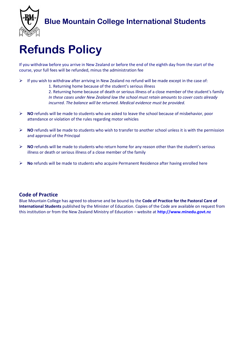

## **Refunds Policy**

If you withdraw before you arrive in New Zealand or before the end of the eighth day from the start of the course, your full fees will be refunded, minus the administration fee

- $\triangleright$  If you wish to withdraw after arriving in New Zealand no refund will be made except in the case of:
	- 1. Returning home because of the student's serious illness

2. Returning home because of death or serious illness of a close member of the student's family *In these cases under New Zealand law the school must retain amounts to cover costs already incurred. The balance will be returned. Medical evidence must be provided.* 

- **NO** refunds will be made to students who are asked to leave the school because of misbehavior, poor attendance or violation of the rules regarding motor vehicles
- **NO** refunds will be made to students who wish to transfer to another school unless it is with the permission and approval of the Principal
- **NO** refunds will be made to students who return home for any reason other than the student's serious illness or death or serious illness of a close member of the family
- **No** refunds will be made to students who acquire Permanent Residence after having enrolled here

### **Code of Practice**

Blue Mountain College has agreed to observe and be bound by the **Code of Practice for the Pastoral Care of International Students** published by the Minister of Education. Copies of the Code are available on request from this institution or from the New Zealand Ministry of Education – website at **http://www.minedu.govt.nz**